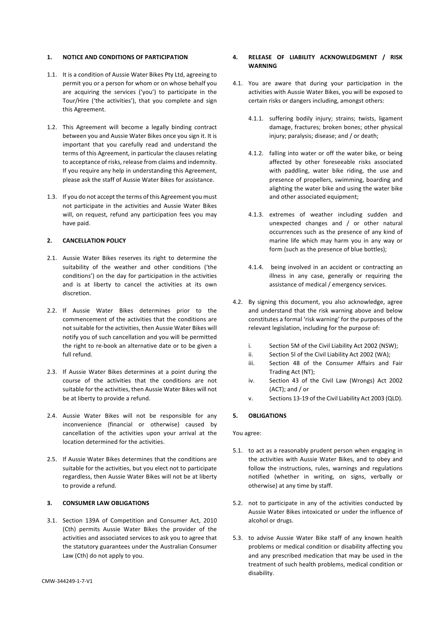#### **1. NOTICE AND CONDITIONS OF PARTICIPATION**

- 1.1. It is a condition of Aussie Water Bikes Pty Ltd, agreeing to permit you or a person for whom or on whose behalf you are acquiring the services ('you') to participate in the Tour/Hire ('the activities'), that you complete and sign this Agreement.
- 1.2. This Agreement will become a legally binding contract between you and Aussie Water Bikes once you sign it. It is important that you carefully read and understand the terms of this Agreement, in particular the clauses relating to acceptance of risks, release from claims and indemnity. If you require any help in understanding this Agreement, please ask the staff of Aussie Water Bikes for assistance.
- 1.3. If you do not accept the terms of this Agreement you must not participate in the activities and Aussie Water Bikes will, on request, refund any participation fees you may have paid.

## **2. CANCELLATION POLICY**

- 2.1. Aussie Water Bikes reserves its right to determine the suitability of the weather and other conditions ('the conditions') on the day for participation in the activities and is at liberty to cancel the activities at its own discretion.
- 2.2. If Aussie Water Bikes determines prior to the commencement of the activities that the conditions are not suitable for the activities, then Aussie Water Bikes will notify you of such cancellation and you will be permitted the right to re-book an alternative date or to be given a full refund.
- 2.3. If Aussie Water Bikes determines at a point during the course of the activities that the conditions are not suitable for the activities, then Aussie Water Bikes will not be at liberty to provide a refund.
- 2.4. Aussie Water Bikes will not be responsible for any inconvenience (financial or otherwise) caused by cancellation of the activities upon your arrival at the location determined for the activities.
- 2.5. If Aussie Water Bikes determines that the conditions are suitable for the activities, but you elect not to participate regardless, then Aussie Water Bikes will not be at liberty to provide a refund.

#### **3. CONSUMER LAW OBLIGATIONS**

3.1. Section 139A of Competition and Consumer Act, 2010 (Cth) permits Aussie Water Bikes the provider of the activities and associated services to ask you to agree that the statutory guarantees under the Australian Consumer Law (Cth) do not apply to you.

## **4. RELEASE OF LIABILITY ACKNOWLEDGMENT / RISK WARNING**

- 4.1. You are aware that during your participation in the activities with Aussie Water Bikes, you will be exposed to certain risks or dangers including, amongst others:
	- 4.1.1. suffering bodily injury; strains: twists, ligament damage, fractures; broken bones; other physical injury; paralysis; disease; and / or death;
	- 4.1.2. falling into water or off the water bike, or being affected by other foreseeable risks associated with paddling, water bike riding, the use and presence of propellers, swimming, boarding and alighting the water bike and using the water bike and other associated equipment;
	- 4.1.3. extremes of weather including sudden and unexpected changes and  $/$  or other natural occurrences such as the presence of any kind of marine life which may harm you in any way or form (such as the presence of blue bottles);
	- 4.1.4. being involved in an accident or contracting an illness in any case, generally or requiring the assistance of medical / emergency services.
- 4.2. By signing this document, you also acknowledge, agree and understand that the risk warning above and below constitutes a formal 'risk warning' for the purposes of the relevant legislation, including for the purpose of:
	- i. Section 5M of the Civil Liability Act 2002 (NSW);
	- ii. Section 5l of the Civil Liability Act 2002 (WA);
	- iii. Section 48 of the Consumer Affairs and Fair Trading Act (NT);
	- iv. Section 43 of the Civil Law (Wrongs) Act 2002  $(ACT)$ ; and  $/$  or
	- v. Sections 13-19 of the Civil Liability Act 2003 (QLD).

# **5. OBLIGATIONS**

You agree:

- 5.1. to act as a reasonably prudent person when engaging in the activities with Aussie Water Bikes, and to obey and follow the instructions, rules, warnings and regulations notified (whether in writing, on signs, verbally or otherwise) at any time by staff.
- 5.2. not to participate in any of the activities conducted by Aussie Water Bikes intoxicated or under the influence of alcohol or drugs.
- 5.3. to advise Aussie Water Bike staff of any known health problems or medical condition or disability affecting you and any prescribed medication that may be used in the treatment of such health problems, medical condition or disability.